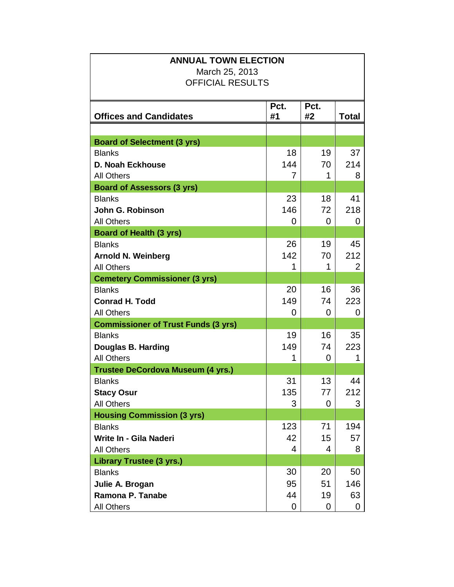| <b>ANNUAL TOWN ELECTION</b>                |      |             |              |  |  |
|--------------------------------------------|------|-------------|--------------|--|--|
| March 25, 2013                             |      |             |              |  |  |
| <b>OFFICIAL RESULTS</b>                    |      |             |              |  |  |
|                                            |      |             |              |  |  |
|                                            | Pct. | Pct.        |              |  |  |
| <b>Offices and Candidates</b>              | #1   | #2          | <b>Total</b> |  |  |
|                                            |      |             |              |  |  |
| <b>Board of Selectment (3 yrs)</b>         |      |             |              |  |  |
| <b>Blanks</b>                              | 18   | 19          | 37           |  |  |
| <b>D. Noah Eckhouse</b>                    | 144  | 70          | 214          |  |  |
| <b>All Others</b>                          | 7    | $\mathbf 1$ | 8            |  |  |
| <b>Board of Assessors (3 yrs)</b>          |      |             |              |  |  |
| <b>Blanks</b>                              | 23   | 18          | 41           |  |  |
| John G. Robinson                           | 146  | 72          | 218          |  |  |
| <b>All Others</b>                          | 0    | 0           | 0            |  |  |
| <b>Board of Health (3 yrs)</b>             |      |             |              |  |  |
| <b>Blanks</b>                              | 26   | 19          | 45           |  |  |
| <b>Arnold N. Weinberg</b>                  | 142  | 70          | 212          |  |  |
| <b>All Others</b>                          | 1    | 1           | 2            |  |  |
| <b>Cemetery Commissioner (3 yrs)</b>       |      |             |              |  |  |
| <b>Blanks</b>                              | 20   | 16          | 36           |  |  |
| <b>Conrad H. Todd</b>                      | 149  | 74          | 223          |  |  |
| <b>All Others</b>                          | 0    | 0           | 0            |  |  |
| <b>Commissioner of Trust Funds (3 yrs)</b> |      |             |              |  |  |
| <b>Blanks</b>                              | 19   | 16          | 35           |  |  |
| Douglas B. Harding                         | 149  | 74          | 223          |  |  |
| <b>All Others</b>                          | 1    | 0           | 1            |  |  |
| <b>Trustee DeCordova Museum (4 yrs.)</b>   |      |             |              |  |  |
| <b>Blanks</b>                              | 31   | 13          | 44           |  |  |
| <b>Stacy Osur</b>                          | 135  | 77          | 212          |  |  |
| <b>All Others</b>                          | 3    | 0           | 3            |  |  |
| <b>Housing Commission (3 yrs)</b>          |      |             |              |  |  |
| <b>Blanks</b>                              | 123  | 71          | 194          |  |  |
| Write In - Gila Naderi                     | 42   | 15          | 57           |  |  |
| <b>All Others</b>                          | 4    | 4           | 8            |  |  |
| <b>Library Trustee (3 yrs.)</b>            |      |             |              |  |  |
| <b>Blanks</b>                              | 30   | 20          | 50           |  |  |
| Julie A. Brogan                            | 95   | 51          | 146          |  |  |
| Ramona P. Tanabe                           | 44   | 19          | 63           |  |  |
| <b>All Others</b>                          | 0    | 0           | 0            |  |  |